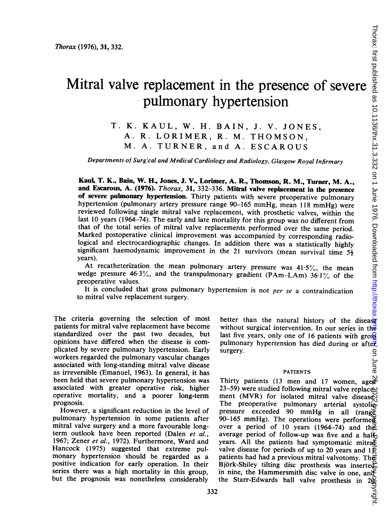# Mitral valve replacement in the presence of severe pulmonary hypertension

T. K. KAUL, W. H. BAIN, J. V. JONES, A. R. LORIMER, R. M. THOMSON, M. A. TURNER, and A. ESCAROUS

Departments of Surgical and Medical Cardiology and Radiology, Glasgow Royal Infirmary

Kaul, T. K., Bain, W. H, Jones, J. V., Lorimer, A. R., Thomson, R. M., Turner, M. A., and Escarous, A. (1976). Thorax, 31, 332-336. Mitral valve replacement in the presence of severe pulmonary hypertension. Thirty patients with severe preoperative pulmonary hypertension (pulmonary artery pressure range 90-165 mmHg, mean <sup>118</sup> mmHg) were reviewed following single mitral valve replacement, with prosthetic valves, within the last <sup>10</sup> years (1964-74). The early and late mortality for this group was no different from that of the total series of mitral valve replacements performed over the same period. Marked postoperative clinical improvement was accompanied by corresponding radiological and electrocardiographic changes. In addition there was a statistically highly significant haemodynamic improvement in the 21 survivors (mean survival time  $5\frac{1}{2}$ years).

At recatheterization the mean pulmonary artery pressure was  $41.5\%$ , the mean wedge pressure 46.3%, and the transpulmonary gradient (PAm-LAm)  $36.1\%$  of the preoperative values.

It is concluded that gross pulmonary hypertension is not per se a contraindication to mitral valve replacement surgery.

The criteria governing the selection of most patients for mitral valve replacement have become standardized over the past two decades, but opinions have differed when the disease is complicated by severe pulmonary hypertension. Early workers regarded the pulmonary vascular changes associated with long-standing mitral valve disease as irreversible (Emanuel, 1963). In general, it has been held that severe pulmonary hypertension was associated with greater operative risk, higher operative mortality, and a poorer long-term prognosis.

However, a significant reduction in the level of pulmonary hypertension in some patients after mitral valve surgery and a more favourable longterm outlook have been reported (Dalen et al., 1967; Zener et al., 1972). Furthermore, Ward and Hancock (1975) suggested that extreme pulmonary hypertension should be regarded as a positive indication for early operation. In their series there was a high mortality in this group, but the prognosis was nonetheless considerably

better than the natural history of the disease without surgical intervention. In our series in the last five years, only one of 16 patients with gross pulmonary hypertension has died during or after surgery. on June

### PATIENTS

Thirty patients (13 men and 17 women, aged 23-59) were studied following mitral valve replace $\ge$ ment (MVR) for isolated mitral valve disease. The preoperative pulmonary arterial systolicpressure exceeded 90 mmHg in all (rangest 90–165 mmHg). The operations were performe $\boldsymbol{\breve{\mathsf{g}}}$ over a period of 10 years (1964-74) and the average period of follow-up was five and a half years. All the patients had symptomatic mitra $\overline{\delta}$ valve disease for periods of up to 20 years and  $1\overline{p}$ patients had had a previous mitral valvotomy. The Björk-Shiley tilting disc prosthesis was inserted. in nine, the Hammersmith disc valve in one, and<br>the Starr-Edwards ball valve prosthesis in 200<br> $\frac{100}{\frac{100}{11}}$ the Starr-Edwards ball valve prosthesis in l horax: htst published as 10.1136/hx.31.3.332 on 1 June 1976. Downloaded from http://thorax.bm/ groe as 10.253 2022. Downloaded as 10.1136/thp.com/ Thorax: first published as 10.1136.1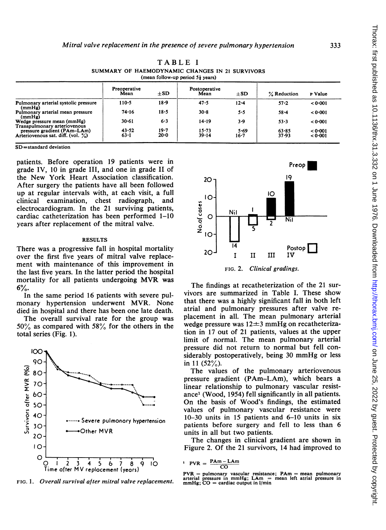| (mean follow-up period $5\frac{1}{2}$ years)                                                     |                      |                      |                       |                  |                |                    |  |  |
|--------------------------------------------------------------------------------------------------|----------------------|----------------------|-----------------------|------------------|----------------|--------------------|--|--|
|                                                                                                  | Preoperative<br>Mean | $+SD$                | Postoperative<br>Mean | $+SD$            | % Reduction    | P Value            |  |  |
| Pulmonary arterial systolic pressure<br>(mmHg)                                                   | $110 - 5$            | $18 - 9$             | 47.5                  | $12 - 4$         | $57 - 2$       | < 0.001            |  |  |
| Pulmonary arterial mean pressure<br>(mmHg)                                                       | 74.16                | $18 - 5$             | $30 - 8$              | 5.5              | 58.4           | < 0.001            |  |  |
| Wedge pressure mean (mmHg)                                                                       | $30 - 61$            | $6 - 3$              | 14.19                 | 3.9              | $53 - 3$       | < 0.001            |  |  |
| Transpulmonary arteriovenous<br>pressure gradient (PAm-LAm)<br>Arteriovenous sat. diff. (vol. %) | 43.52<br>$63 - 1$    | $19 - 7$<br>$20 - 0$ | $15 - 73$<br>39.14    | 5.69<br>$16 - 7$ | 63.85<br>37.93 | < 0.001<br>< 0.001 |  |  |

TABLE <sup>I</sup> SUMMARY OF HAEMODYNAMIC CHANGES IN <sup>21</sup> SURVIVORS

SD=standard deviation

patients. Before operation 19 patients were in grade IV, 10 in grade III, and one in grade II of the New York Heart Association classification. After surgery the patients have all been followed up at regular intervals with, at each visit, a full clinical examination, chest radiograph, and electrocardiogram. In the 21 surviving patients, cardiac catheterization has been performed 1-10 years after replacement of the mitral valve.

#### RESULTS

There was a progressive fall in hospital mortality over the first five years of mitral valve replacement with maintenance of this improvement in the last five years. In the latter period the hospital mortality for all patients undergoing MVR was 6%.

In the same period 16 patients with severe pulmonary hypertension underwent MVR. None died in hospital and there has been one late death.

The overall survival rate for the group was  $50\%$  as compared with  $58\%$  for the others in the total series (Fig. l).



FIG. 1. Overall survival after mitral valve replacement.



The findings at recatheterization of the 21 survivors are summarized in Table I. These show that there was a highly significant fall in both left atrial and pulmonary pressures after valve replacement in all. The mean pulmonary arterial wedge pressure was  $12\pm3$  mmHg on recatheterization in 17 out of 21 patients, values at the upper limit of normal. The mean pulmonary arterial pressure did not return to normal but fell considerably postoperatively, being <sup>30</sup> mmHg or less in 11  $(52\%)$ .

The values of the pulmonary arteriovenous pressure gradient (PAm-LAm), which bears a linear relationship to pulmonary vascular resistance' (Wood, 1954) fell significantly in all patients. On the basis of Wood's findings, the estimated values of pulmonary vascular resistance were 10-30 units in 15 patients and 6-10 units in six patients before surgery and fell to less than 6 units in all but two patients.

The changes in clinical gradient are shown in Figure 2. Of the 21 survivors, 14 had improved to

$$
PVR = \frac{PAm - LAm}{CO}
$$

PVR = pulmonary vascular resistance; PAm = mean pulmonary arterial pressure in mmHg; LAm = mean left atrial pressure in mmHg; CO = cardiac output in I/min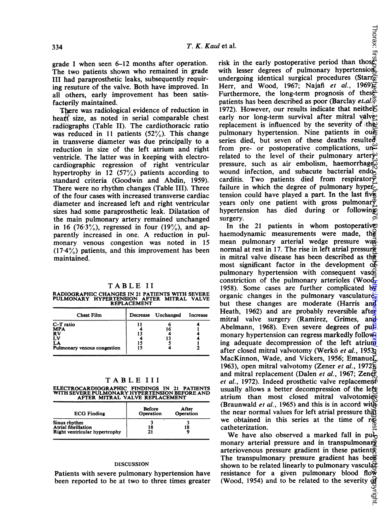grade <sup>I</sup> when seen 6-12 months after operation. The two patients shown who remained in grade III had paraprosthetic leaks, subsequently requiring resuture of the valve. Both have improved. In all others, early improvement has been satisfactorily maintained.

There was radiological evidence of reduction in heart size, as noted in serial comparable chest radiographs (Table II). The cardiothoracic ratio was reduced in 11 patients  $(52\%)$ . This change in transverse diameter was due principally to a reduction in size of the left atrium and right ventricle. The latter was in keeping with electrocardiographic regression of right ventricular hypertrophy in 12 (57%) patients according to standard criteria (Goodwin and Abdin, 1959). There were no rhythm changes (Table III). Three of the four cases with increased transverse cardiac diameter and increased left and right ventricular sizes had some paraprosthetic leak. Dilatation of the main pulmonary artery remained unchanged in 16 (76.3%), regressed in four (19%), and apparently increased in one. A reduction in pulmonary venous congestion was noted in 15  $(17.4\%)$  patients, and this improvement has been maintained.

TABLE II RADIOGRAPHIC CHANGES IN 21 PATIENTS WITH SEVERE<br>PULMONARY HYPERTENSION AFTER MITRAL VALVE<br> REPLACEMENT

| <b>Chest Film</b>                                                               | Decrease Unchanged | Increase |
|---------------------------------------------------------------------------------|--------------------|----------|
| C-T ratio<br><b>MPA</b><br><b>RV</b><br>LV<br>LA<br>Pulmonary venous congestion | 16                 |          |

TABLE III

ELECTROCARDIOGRAPHIC FINDINGS IN 21 PATIENTS<br>WITH SEVERE PULMONARY HYPERTENSION BEFORE AND<br>AFTER MITRAL VALVE REPLACEMENT

| <b>ECG Finding</b>                                                          | <b>Before</b><br>Operation | After<br>Operation |
|-----------------------------------------------------------------------------|----------------------------|--------------------|
| Sinus rhythm<br><b>Atrial fibrillation</b><br>Right ventricular hypertrophy | 18<br>,,                   | 18                 |

#### DISCUSSION

Patients with severe pulmonary hypertension have been reported to be at two to three times greater *u* et al.<br>
risk in the early postoperative period than those<br>
risk in the early postoperative period than those with lesser degrees of pulmonary hypertension undergoing identical surgical procedures (Starr $\frac{1}{60}$ Herr, and Wood, 1967; Najafi et al., 1969. Furthermore, the long-term prognosis of these patients has been described as poor (Barclay et. al. $\ddot{\varphi}$ ) 1972). However, our results indicate that neither early nor long-term survival after mitral valvereplacement is influenced by the severity of the pulmonary hypertension. Nine patients in oue series died, but seven of these deaths resulted from pre- or postoperative complications,  $un\mathcal{L}$ related to the level of their pulmonary artery pressure, such as air embolism, haemorrhage. wound infection, and subacute bacterial endocarditis. Two patients died from respirator $\bar{y}$ failure in which the degree of pulmonary hyper $\vec{r}$ tension could have played a part. In the last five years only one patient with gross pulmonar $\bar{\Phi}$ hypertension has died during or following surgery.

In the 21 patients in whom postoperative haemodynamic measurements were made, the mean pulmonary arterial wedge pressure was normal at rest in 17. The rise in left atrial pressure in mitral valve disease has been described as the most significant factor in the development  $\Phi$ pulmonary hypertension with consequent vasoconstriction of the pulmonary arterioles (Wood, 1958). Some cases are further complicated  $b\overline{x}$ organic changes in the pulmonary vasculature, but these changes are moderate (Harris and Heath, 1962) and are probably reversible after mitral valve surgery (Ramírez, Grimes, and Abelmann, 1968). Even severe degrees of pu $\overline{P}$ monary hypertension can regress markedly following adequate decompression of the left atrium after closed mitral valvotomy (Werkö et al., 1953; MacKinnon, Wade, and Vickers, 1956; Emanuel. 1963), open mitral valvotomy (Zener et al., 1972 $\frac{2}{5}$ and mitral replacement (Dalen et al., 1967; Zener et al., 1972). Indeed prosthetic valve replacement usually allows a better decompression of the left atrium than most closed mitral valvotomies (Braunwald et al., 1965) and this is in accord with the near normal values for left atrial pressure that we obtained in this series at the time of  $r\ddot{\in}$ catheterization. on June 25, 2022 by guest. Protected by copyright. <http://thorax.bmj.com/> Thorax: first published as 10.1136/thx.31.3.332 on 1 June 1976. Downloaded from

We have also observed a marked fall in pulmonary arterial pressure and in transpulmonary arteriovenous pressure gradient in these patients. The transpulmonary pressure gradient has been shown to be related linearly to pulmonary vascular resistance for a given pulmonary blood flow (Wood, 1954) and to be related to the severity of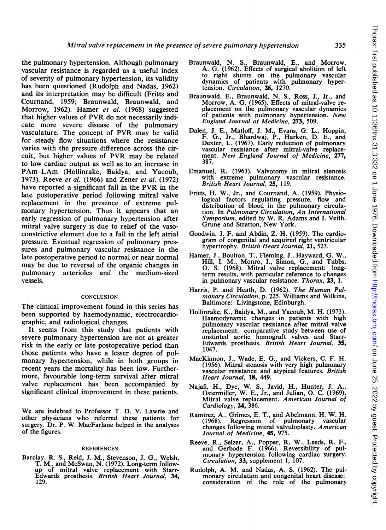the pulmonary hypertension. Although pulmonary vascular resistance is regarded as a useful index of severity of pulmonary hypertension, its validity has been questioned (Rudolph and Nadas, 1962) and its interpretation may be difficult (Fritts and Cournand, 1959; Braunwald, Braunwald, and Morrow, 1962). Hamer et al. (1968) suggested that higher values of PVR do not necessarily indicate more severe disease of the pulmonary vasculature. The concept of PVR may be valid for steady flow situations where the resistance varies with the pressure difference across the circuit, but higher values of PVR may be related to low cardiac output as well as to an increase in PAm-LAm (Hollinrake, Baidya, and Yacoub, 1973). Reeve et al. (1966) and Zener et al. (1972) have reported <sup>a</sup> significant fall in the PVR in the late postoperative period following mitral valve replacement in the presence of extreme pulmonary hypertension. Thus it appears that an early regression of pulmonary hypertension after mitral valve surgery is due to relief of the vasoconstrictive element due to a fall in the left atrial pressure. Eventual regression of pulmonary pressures and pulmonary vascular resistance in the late postoperative period to normal or near normal may be due to reversal of the organic changes in pulmonary arterioles and the medium-sized vessels.

## **CONCLUSION**

The clinical improvement found in this series has been supported by haemodynamic, electrocardiographic, and radiological changes.

It seems from this study that patients with severe pulmonary hypertension are not at greater risk in the early or late postoperative period than those patients who have a lesser degree of pulmonary hypertension, while in both groups in recent years the mortality has been low. Furthermore, favourable long-term survival after mitral valve replacement has been accompanied by significant clinical improvement in these patients.

We are indebted to Professor T. D. V. Lawrie and other physicians who referred these patients for surgery. Dr. P. W. MacFarlane helped in the analyses of the figures.

#### REFERENCES

Barclay, R. S., Reid, J. M., Stevenson, J. G., Welsh, T. M., and McSwan, N. (1972). Long-term followup of mitral valve replacement with Starr-<br>Edwards prosthesis. *British Heart Journal*, **34,** 129.

- Braunwald, N. S., Braunwald, E., and Morrow, A. G. (1962). Effects of surgical abolition of left to right shunts on the pulmonary vascular dynamics of patients with pulmonary hyper-tension. Circulation, 26, 1270.
- Braunwald, E., Braunwald, N. S., Ross, J., Jr., and Morrow, A. G. (1965). Effects of mitral-valve replacement on the pulmonary vascular dynamics of patients with pulmonary hypertension. New England Journal of Medicine, 273, 509.
- Dalen, J. E., Matloff, J. M., Evans, G. L., Hoppin, F. G., Jr., Bhardwaj, P., Harken, D. E., and Dexter, L. (1967). Early reduction of pulmonary vascular resistance after mitral-valve replacement. New England Journal of Medicine, 277, 387.
- Emanuel, R. (1963). Valvotomy in mitral stenosis with extreme pulmonary vascular resistance. British Heart Journal, 25, 119.
- Fritts, H. W., Jr., and Cournand, A. (1959). Physiological factors regulating pressure, flow and distribution of blood in the pulmonary circulation. In Pulmonary Circulation, An International Symposium, edited by W. R. Adams and I. Veith. Grune and Stratton, New York.
- Goodwin, J. F. and Abdin, Z. H. (1959). The cardiogram of congenital and acquired right ventricular hypertrophy. British Heart Journal, 21, 523.
- Hamer, J., Boulton, T., Fleming, J., Hayward, G. W., Hill, I. M., Monro, I., Simon, G., and Tubbs, 0. S. (1968). Mitral valve replacement: longterm results, with particular reference to changes in pulmonary vascular resistance. Thorax, 23, 1.
- Harris, P. and Heath, D. (1962). The Human Pulmonary Circulation, p. 225. Williams and Wilkins, Baltimore: Livingstone, Edinburgh.
- Hollinrake, K., Baidya, M., and Yacoub, M. H. (1973). Haemodynamic changes in patients with high pulmonary vascular resistance after mitral valve replacement: comparative study between use of unstinted aortic homograft valves and Starr-Edwards prosthesis. British Heart Journal, 35, 1047.
- MacKinnon, J., Wade, E. G., and Vickers, C. F. H. (1956). Mitral stenosis with very high pulmonary vascular resistance and atypical features. British Heart Journal, 18, 449.
- Najafi, H., Dye, W. S., Javid, H., Hunter, J. A., Ostermiller, W. E., Jr., and Julian, 0. C. (1969). Mitral valve replacement. American Journal of Cardiology, 24, 386.
- Ramirez, A., Grimes, E. T., and Abelmann, H. W. H. (1968). Regression of pulmonary vascular changes following mitral valvuloplasty. American Journal of Medicine, 45, 975.
- Reeve, R., Selzer, A., Popper, R. W., Leeds, R. F., and Gerbode F. (1966). Reversibility of pulmonary hypertension following cardiac surgery. Circulation, 33, supplement 1, 107.
- Rudolph, A. M. and Nadas, A. S. (1962). The pulmonary circulation and congenital heart disease: consideration of the role of the pulmonary